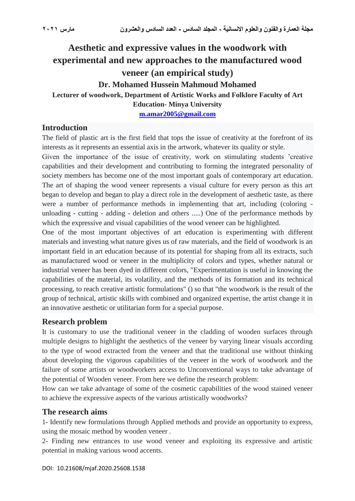# **Aesthetic and expressive values in the woodwork with experimental and new approaches to the manufactured wood veneer (an empirical study) Dr. Mohamed Hussein Mahmoud Mohamed**

**Lecturer of woodwork, Department of Artistic Works and Folklore Faculty of Art** 

**Education- Minya University**

**[m.amar2005@gmail.com](mailto:m.amar2005@gmail.com)**

#### **Introduction**

The field of plastic art is the first field that tops the issue of creativity at the forefront of its interests as it represents an essential axis in the artwork, whatever its quality or style.

Given the importance of the issue of creativity, work on stimulating students 'creative capabilities and their development and contributing to forming the integrated personality of society members has become one of the most important goals of contemporary art education. The art of shaping the wood veneer represents a visual culture for every person as this art began to develop and began to play a direct role in the development of aesthetic taste, as there were a number of performance methods in implementing that art, including (coloring unloading - cutting - adding - deletion and others .....) One of the performance methods by which the expressive and visual capabilities of the wood veneer can be highlighted.

One of the most important objectives of art education is experimenting with different materials and investing what nature gives us of raw materials, and the field of woodwork is an important field in art education because of its potential for shaping from all its extracts, such as manufactured wood or veneer in the multiplicity of colors and types, whether natural or industrial veneer has been dyed in different colors, "Experimentation is useful in knowing the capabilities of the material, its volatility, and the methods of its formation and its technical processing, to reach creative artistic formulations" () so that "the woodwork is the result of the group of technical, artistic skills with combined and organized expertise, the artist change it in an innovative aesthetic or utilitarian form for a special purpose.

#### **Research problem**

It is customary to use the traditional veneer in the cladding of wooden surfaces through multiple designs to highlight the aesthetics of the veneer by varying linear visuals according to the type of wood extracted from the veneer and that the traditional use without thinking about developing the vigorous capabilities of the veneer in the work of woodwork and the failure of some artists or woodworkers access to Unconventional ways to take advantage of the potential of Wooden veneer. From here we define the research problem:

How can we take advantage of some of the cosmetic capabilities of the wood stained veneer to achieve the expressive aspects of the various artistically woodworks?

#### **The research aims**

1- Identify new formulations through Applied methods and provide an opportunity to express, using the mosaic method by wooden veneer .

2- Finding new entrances to use wood veneer and exploiting its expressive and artistic potential in making various wood accents.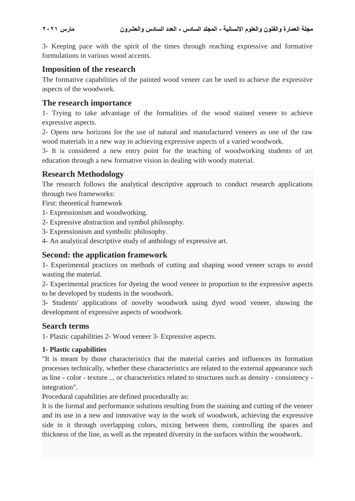3- Keeping pace with the spirit of the times through reaching expressive and formative formulations in various wood accents.

#### **Imposition of the research**

The formative capabilities of the painted wood veneer can be used to achieve the expressive aspects of the woodwork.

#### **The research importance**

1- Trying to take advantage of the formalities of the wood stained veneer to achieve expressive aspects.

2- Opens new horizons for the use of natural and manufactured veneers as one of the raw wood materials in a new way in achieving expressive aspects of a varied woodwork.

3- It is considered a new entry point for the teaching of woodworking students of art education through a new formative vision in dealing with woody material.

#### **Research Methodology**

The research follows the analytical descriptive approach to conduct research applications through two frameworks:

First: theoretical framework

- 1- Expressionism and woodworking.
- 2- Expressive abstraction and symbol philosophy.
- 3- Expressionism and symbolic philosophy.
- 4- An analytical descriptive study of anthology of expressive art.

### **Second: the application framework**

1- Experimental practices on methods of cutting and shaping wood veneer scraps to avoid wasting the material.

2- Experimental practices for dyeing the wood veneer in proportion to the expressive aspects to be developed by students in the woodwork.

3- Students' applications of novelty woodwork using dyed wood veneer, showing the development of expressive aspects of woodwork.

#### **Search terms**

1- Plastic capabilities 2- Wood veneer 3- Expressive aspects.

#### **1- Plastic capabilities**

"It is meant by those characteristics that the material carries and influences its formation processes technically, whether these characteristics are related to the external appearance such as line - color - texture ... or characteristics related to structures such as density - consistency integration".

Procedural capabilities are defined procedurally as:

It is the formal and performance solutions resulting from the staining and cutting of the veneer and its use in a new and innovative way in the work of woodwork, achieving the expressive side in it through overlapping colors, mixing between them, controlling the spaces and thickness of the line, as well as the repeated diversity in the surfaces within the woodwork.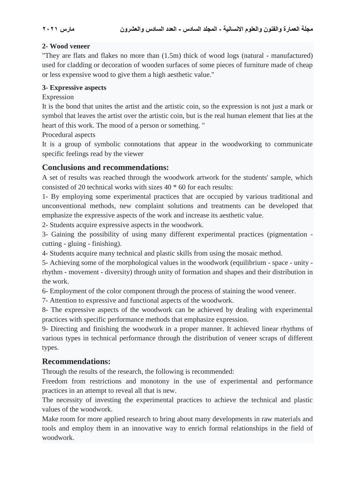## **2- Wood veneer**

"They are flats and flakes no more than (1.5m) thick of wood logs (natural - manufactured) used for cladding or decoration of wooden surfaces of some pieces of furniture made of cheap or less expensive wood to give them a high aesthetic value."

## **3- Expressive aspects**

## Expression

It is the bond that unites the artist and the artistic coin, so the expression is not just a mark or symbol that leaves the artist over the artistic coin, but is the real human element that lies at the heart of this work. The mood of a person or something. "

Procedural aspects

It is a group of symbolic connotations that appear in the woodworking to communicate specific feelings read by the viewer

# **Conclusions and recommendations:**

A set of results was reached through the woodwork artwork for the students' sample, which consisted of 20 technical works with sizes 40 \* 60 for each results:

1- By employing some experimental practices that are occupied by various traditional and unconventional methods, new complaint solutions and treatments can be developed that emphasize the expressive aspects of the work and increase its aesthetic value.

2- Students acquire expressive aspects in the woodwork.

3- Gaining the possibility of using many different experimental practices (pigmentation cutting - gluing - finishing).

4- Students acquire many technical and plastic skills from using the mosaic method.

5- Achieving some of the morphological values in the woodwork (equilibrium - space - unity rhythm - movement - diversity) through unity of formation and shapes and their distribution in the work.

6- Employment of the color component through the process of staining the wood veneer.

7- Attention to expressive and functional aspects of the woodwork.

8- The expressive aspects of the woodwork can be achieved by dealing with experimental practices with specific performance methods that emphasize expression.

9- Directing and finishing the woodwork in a proper manner. It achieved linear rhythms of various types in technical performance through the distribution of veneer scraps of different types.

# **Recommendations:**

Through the results of the research, the following is recommended:

Freedom from restrictions and monotony in the use of experimental and performance practices in an attempt to reveal all that is new.

The necessity of investing the experimental practices to achieve the technical and plastic values of the woodwork.

Make room for more applied research to bring about many developments in raw materials and tools and employ them in an innovative way to enrich formal relationships in the field of woodwork.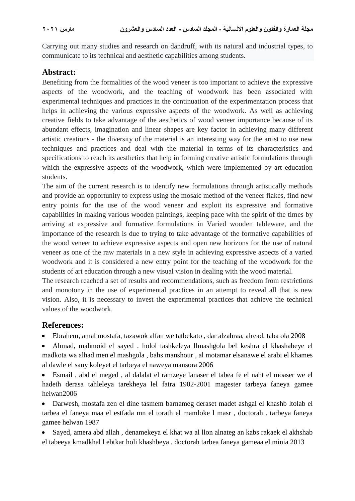Carrying out many studies and research on dandruff, with its natural and industrial types, to communicate to its technical and aesthetic capabilities among students.

#### **Abstract:**

Benefiting from the formalities of the wood veneer is too important to achieve the expressive aspects of the woodwork, and the teaching of woodwork has been associated with experimental techniques and practices in the continuation of the experimentation process that helps in achieving the various expressive aspects of the woodwork. As well as achieving creative fields to take advantage of the aesthetics of wood veneer importance because of its abundant effects, imagination and linear shapes are key factor in achieving many different artistic creations - the diversity of the material is an interesting way for the artist to use new techniques and practices and deal with the material in terms of its characteristics and specifications to reach its aesthetics that help in forming creative artistic formulations through which the expressive aspects of the woodwork, which were implemented by art education students.

The aim of the current research is to identify new formulations through artistically methods and provide an opportunity to express using the mosaic method of the veneer flakes, find new entry points for the use of the wood veneer and exploit its expressive and formative capabilities in making various wooden paintings, keeping pace with the spirit of the times by arriving at expressive and formative formulations in Varied wooden tableware, and the importance of the research is due to trying to take advantage of the formative capabilities of the wood veneer to achieve expressive aspects and open new horizons for the use of natural veneer as one of the raw materials in a new style in achieving expressive aspects of a varied woodwork and it is considered a new entry point for the teaching of the woodwork for the students of art education through a new visual vision in dealing with the wood material.

The research reached a set of results and recommendations, such as freedom from restrictions and monotony in the use of experimental practices in an attempt to reveal all that is new vision. Also, it is necessary to invest the experimental practices that achieve the technical values of the woodwork.

#### **References:**

Ebrahem, amal mostafa, tazawok alfan we tatbekato , dar alzahraa, alread, taba ola 2008

 Ahmad, mahmoid el sayed . holol tashkeleya llmashgola bel keshra el khashabeye el madkota wa alhad men el mashgola , bahs manshour , al motamar elsanawe el arabi el khames al dawle el sany koleyet el tarbeya el naweya mansora 2006

 Esmail , abd el meged , al dalalat el ramzeye lanaser el tabea fe el naht el moaser we el hadeth derasa tahleleya tarekheya lel fatra 1902-2001 magester tarbeya faneya gamee helwan2006

 Darwesh, mostafa zen el dine tasmem barnameg deraset madet ashgal el khashb ltolab el tarbea el faneya maa el estfada mn el torath el mamloke l masr , doctorah . tarbeya faneya gamee helwan 1987

 Sayed, amera abd allah , denamekeya el khat wa al llon alnateg an kabs rakaek el akhshab el tabeeya kmadkhal l ebtkar holi khashbeya , doctorah tarbea faneya gameaa el minia 2013